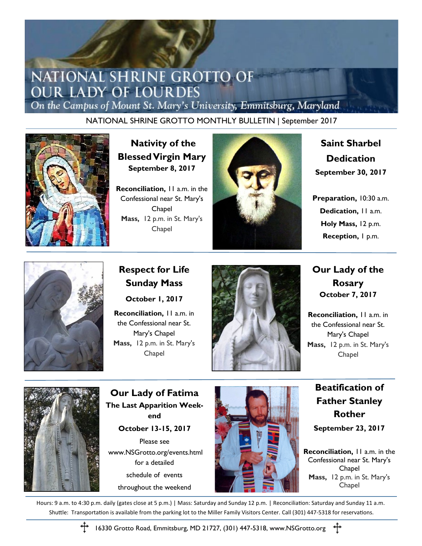# NATIONAL SHRINE GROTTO OF **OUR LADY OF LOURDES**

On the Campus of Mount St. Mary's University, Emmitsburg, Maryland

NATIONAL SHRINE GROTTO MONTHLY BULLETIN | September 2017



**Nativity of the Blessed Virgin Mary September 8, 2017**

**Reconciliation,** 11 a.m. in the Confessional near St. Mary's Chapel **Mass,** 12 p.m. in St. Mary's **Chapel** 



**Saint Sharbel Dedication September 30, 2017**

**Preparation,** 10:30 a.m. **Dedication,** 11 a.m. **Holy Mass,** 12 p.m. **Reception,** 1 p.m.



## **Respect for Life Sunday Mass**

**October 1, 2017**

**Reconciliation,** 11 a.m. in the Confessional near St. Mary's Chapel **Mass,** 12 p.m. in St. Mary's **Chapel** 



#### **Our Lady of the Rosary October 7, 2017**

**Reconciliation,** 11 a.m. in the Confessional near St. Mary's Chapel **Mass,** 12 p.m. in St. Mary's **Chapel** 



**Our Lady of Fatima The Last Apparition Weekend** 

**October 13-15, 2017**

Please see www.NSGrotto.org/events.html for a detailed schedule of events throughout the weekend



## **Beatification of Father Stanley Rother**

**September 23, 2017**

**Reconciliation,** 11 a.m. in the Confessional near St. Mary's **Chapel Mass,** 12 p.m. in St. Mary's Chapel

Hours: 9 a.m. to 4:30 p.m. daily (gates close at 5 p.m.) | Mass: Saturday and Sunday 12 p.m. | Reconciliation: Saturday and Sunday 11 a.m. Shuttle: Transportation is available from the parking lot to the Miller Family Visitors Center. Call (301) 447-5318 for reservations.



16330 Grotto Road, Emmitsburg, MD 21727, (301) 447-5318, www.NSGrotto.org